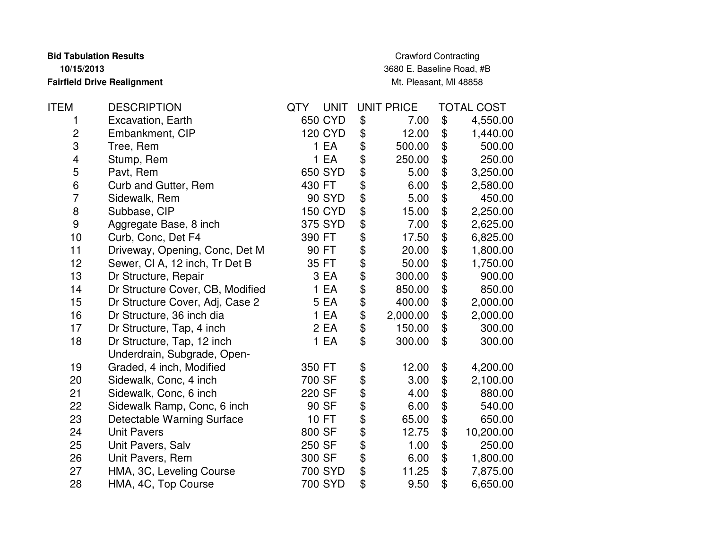**Bid Tabulation Results10/15/2013Fairfield Drive Realignment**

Crawford Contracting 3680 E. Baseline Road, #BMt. Pleasant, MI 48858

| <b>ITEM</b>             | <b>DESCRIPTION</b>               | <b>UNIT</b><br>QTY | <b>UNIT PRICE</b> |                            | TOTAL COST |
|-------------------------|----------------------------------|--------------------|-------------------|----------------------------|------------|
| 1                       | Excavation, Earth                | 650 CYD            | \$<br>7.00        | \$                         | 4,550.00   |
| $\mathbf 2$             | Embankment, CIP                  | <b>120 CYD</b>     | \$<br>12.00       | \$                         | 1,440.00   |
| 3                       | Tree, Rem                        | 1 EA               | \$<br>500.00      | \$                         | 500.00     |
| $\overline{\mathbf{4}}$ | Stump, Rem                       | 1 EA               | \$<br>250.00      | \$                         | 250.00     |
| 5                       | Pavt, Rem                        | 650 SYD            | \$<br>5.00        | \$                         | 3,250.00   |
| 6                       | Curb and Gutter, Rem             | 430 FT             | \$<br>6.00        | \$                         | 2,580.00   |
| $\overline{7}$          | Sidewalk, Rem                    | <b>90 SYD</b>      | 5.00              | \$                         | 450.00     |
| $\,8\,$                 | Subbase, CIP                     | <b>150 CYD</b>     | \$<br>15.00       | \$                         | 2,250.00   |
| $\boldsymbol{9}$        | Aggregate Base, 8 inch           | 375 SYD            | \$<br>7.00        | \$                         | 2,625.00   |
| 10                      | Curb, Conc, Det F4               | 390 FT             | \$<br>17.50       | \$                         | 6,825.00   |
| 11                      | Driveway, Opening, Conc, Det M   | 90 FT              | \$<br>20.00       | \$                         | 1,800.00   |
| 12                      | Sewer, CI A, 12 inch, Tr Det B   | 35 FT              | \$<br>50.00       | \$                         | 1,750.00   |
| 13                      | Dr Structure, Repair             | 3 EA               | \$<br>300.00      | \$                         | 900.00     |
| 14                      | Dr Structure Cover, CB, Modified | 1 EA               | \$<br>850.00      | \$                         | 850.00     |
| 15                      | Dr Structure Cover, Adj, Case 2  | 5 EA               | \$<br>400.00      | \$                         | 2,000.00   |
| 16                      | Dr Structure, 36 inch dia        | 1 EA               | \$<br>2,000.00    | \$                         | 2,000.00   |
| 17                      | Dr Structure, Tap, 4 inch        | 2 EA               | \$<br>150.00      | \$                         | 300.00     |
| 18                      | Dr Structure, Tap, 12 inch       | 1 EA               | \$<br>300.00      | \$                         | 300.00     |
|                         | Underdrain, Subgrade, Open-      |                    |                   |                            |            |
| 19                      | Graded, 4 inch, Modified         | 350 FT             | \$<br>12.00       | \$                         | 4,200.00   |
| 20                      | Sidewalk, Conc, 4 inch           | 700 SF             | \$<br>3.00        | \$                         | 2,100.00   |
| 21                      | Sidewalk, Conc, 6 inch           | 220 SF             | \$<br>4.00        | \$                         | 880.00     |
| 22                      | Sidewalk Ramp, Conc, 6 inch      | 90 SF              | \$<br>6.00        | \$                         | 540.00     |
| 23                      | Detectable Warning Surface       | 10 FT              | 65.00             | \$                         | 650.00     |
| 24                      | <b>Unit Pavers</b>               | 800 SF             | \$<br>12.75       | \$                         | 10,200.00  |
| 25                      | Unit Pavers, Salv                | 250 SF             | \$<br>1.00        | \$                         | 250.00     |
| 26                      | Unit Pavers, Rem                 | 300 SF             | \$<br>6.00        | $\boldsymbol{\mathsf{\$}}$ | 1,800.00   |
| 27                      | HMA, 3C, Leveling Course         | 700 SYD            | \$<br>11.25       | \$                         | 7,875.00   |
| 28                      | HMA, 4C, Top Course              | 700 SYD            | \$<br>9.50        | \$                         | 6,650.00   |
|                         |                                  |                    |                   |                            |            |